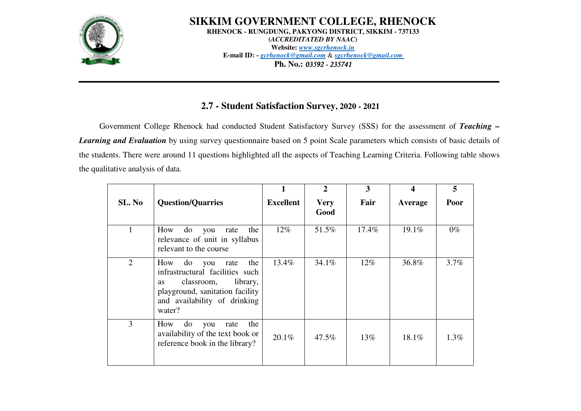

**SIKKIM GOVERNMENT COLLEGE, RHENOCKRHENOCK - RUNGDUNG, PAKYONG DISTRICT, SIKKIM - 737133(***ACCREDITATED BY NAAC***) Website:** *www.sgcrhenock.in* **E-mail ID: -** *gcrhenock@gmail.com* & *sgcrhenock@gmail.com*Ph. No.: *03592 - 235741* 

## **2.7 - Student Satisfaction Survey, 2020 - 2021**

Government College Rhenock had conducted Student Satisfactory Survey (SSS) for the assessment of *Teaching – Learning and Evaluation* by using survey questionnaire based on 5 point Scale parameters which consists of basic details of the students. There were around 11 questions highlighted all the aspects of Teaching Learning Criteria. Following table shows the qualitative analysis of data.

|        |                                                                                                                                                                                        |                  | $\mathbf{2}$        | 3        |          | 5       |
|--------|----------------------------------------------------------------------------------------------------------------------------------------------------------------------------------------|------------------|---------------------|----------|----------|---------|
| SL. No | <b>Question/Quarries</b>                                                                                                                                                               | <b>Excellent</b> | <b>Very</b><br>Good | Fair     | Average  | Poor    |
|        | How<br>the<br>do<br>you<br>rate<br>relevance of unit in syllabus<br>relevant to the course                                                                                             | $12\%$           | 51.5%               | $17.4\%$ | $19.1\%$ | $0\%$   |
| 2      | the<br>How<br>do<br>you<br>rate<br>infrastructural facilities such<br>library,<br>classroom,<br><b>as</b><br>playground, sanitation facility<br>and availability of drinking<br>water? | 13.4%            | 34.1%               | $12\%$   | 36.8%    | 3.7%    |
| 3      | How<br>the<br>do<br>rate<br>you<br>availability of the text book or<br>reference book in the library?                                                                                  | $20.1\%$         | 47.5%               | 13\%     | 18.1%    | $1.3\%$ |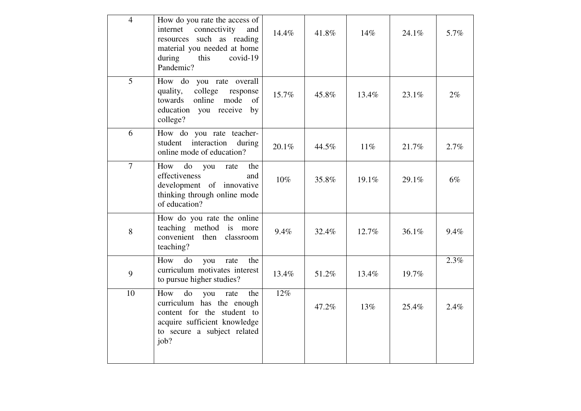| $\overline{4}$ | How do you rate the access of<br>internet<br>connectivity<br>and<br>resources such as reading<br>material you needed at home<br>during<br>this<br>covid-19<br>Pandemic? | 14.4% | 41.8% | 14%   | 24.1% | 5.7%  |
|----------------|-------------------------------------------------------------------------------------------------------------------------------------------------------------------------|-------|-------|-------|-------|-------|
| 5              | How do you rate overall<br>college<br>quality,<br>response<br>towards<br>online<br>mode<br>of<br>education you receive<br>by<br>college?                                | 15.7% | 45.8% | 13.4% | 23.1% | $2\%$ |
| 6              | How do you rate teacher-<br>student interaction<br>during<br>online mode of education?                                                                                  | 20.1% | 44.5% | 11%   | 21.7% | 2.7%  |
| $\overline{7}$ | do<br>How<br>the<br>rate<br>you<br>effectiveness<br>and<br>development of innovative<br>thinking through online mode<br>of education?                                   | 10%   | 35.8% | 19.1% | 29.1% | 6%    |
| 8              | How do you rate the online<br>teaching method is more<br>convenient then<br>classroom<br>teaching?                                                                      | 9.4%  | 32.4% | 12.7% | 36.1% | 9.4%  |
| 9              | How<br>do<br>the<br>you<br>rate<br>curriculum motivates interest<br>to pursue higher studies?                                                                           | 13.4% | 51.2% | 13.4% | 19.7% | 2.3%  |
| 10             | How<br>do<br>the<br>you<br>rate<br>curriculum has the enough<br>content for the student to<br>acquire sufficient knowledge<br>to secure a subject related<br>job?       | 12%   | 47.2% | 13%   | 25.4% | 2.4%  |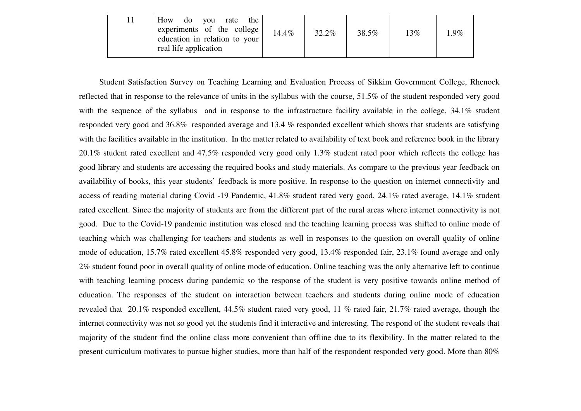|  | How<br>rate<br>the<br>do vou<br>experiments of the college<br>education in relation to your<br>real life application | 14.4% | 32.2% | 38.5% | 13% | $1.9\%$ |
|--|----------------------------------------------------------------------------------------------------------------------|-------|-------|-------|-----|---------|
|--|----------------------------------------------------------------------------------------------------------------------|-------|-------|-------|-----|---------|

Student Satisfaction Survey on Teaching Learning and Evaluation Process of Sikkim Government College, Rhenock reflected that in response to the relevance of units in the syllabus with the course, 51.5% of the student responded very good with the sequence of the syllabus and in response to the infrastructure facility available in the college,  $34.1\%$  student responded very good and 36.8% responded average and 13.4 % responded excellent which shows that students are satisfying with the facilities available in the institution. In the matter related to availability of text book and reference book in the library 20.1% student rated excellent and 47.5% responded very good only 1.3% student rated poor which reflects the college has good library and students are accessing the required books and study materials. As compare to the previous year feedback on availability of books, this year students' feedback is more positive. In response to the question on internet connectivity and access of reading material during Covid -19 Pandemic, 41.8% student rated very good, 24.1% rated average, 14.1% student rated excellent. Since the majority of students are from the different part of the rural areas where internet connectivity is not good. Due to the Covid-19 pandemic institution was closed and the teaching learning process was shifted to online mode of teaching which was challenging for teachers and students as well in responses to the question on overall quality of online mode of education, 15.7% rated excellent 45.8% responded very good, 13.4% responded fair, 23.1% found average and only 2% student found poor in overall quality of online mode of education. Online teaching was the only alternative left to continue with teaching learning process during pandemic so the response of the student is very positive towards online method of education. The responses of the student on interaction between teachers and students during online mode of education revealed that 20.1% responded excellent, 44.5% student rated very good, 11 % rated fair, 21.7% rated average, though the internet connectivity was not so good yet the students find it interactive and interesting. The respond of the student reveals that majority of the student find the online class more convenient than offline due to its flexibility. In the matter related to the present curriculum motivates to pursue higher studies, more than half of the respondent responded very good. More than 80%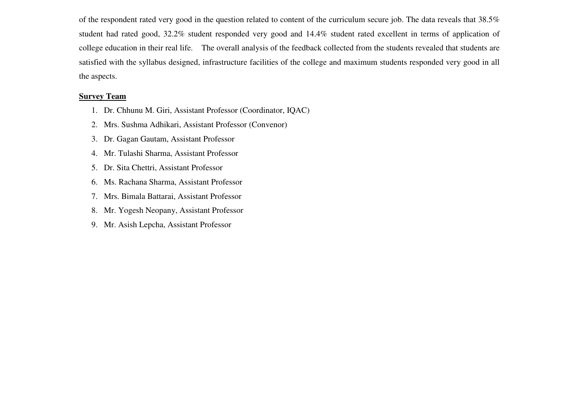of the respondent rated very good in the question related to content of the curriculum secure job. The data reveals that 38.5% student had rated good, 32.2% student responded very good and 14.4% student rated excellent in terms of application of college education in their real life. The overall analysis of the feedback collected from the students revealed that students are satisfied with the syllabus designed, infrastructure facilities of the college and maximum students responded very good in all the aspects.

#### **Survey Team**

- 1. Dr. Chhunu M. Giri, Assistant Professor (Coordinator, IQAC)
- 2. Mrs. Sushma Adhikari, Assistant Professor (Convenor)
- 3. Dr. Gagan Gautam, Assistant Professor
- 4. Mr. Tulashi Sharma, Assistant Professor
- 5. Dr. Sita Chettri, Assistant Professor
- 6. Ms. Rachana Sharma, Assistant Professor
- 7. Mrs. Bimala Battarai, Assistant Professor
- 8. Mr. Yogesh Neopany, Assistant Professor
- 9. Mr. Asish Lepcha, Assistant Professor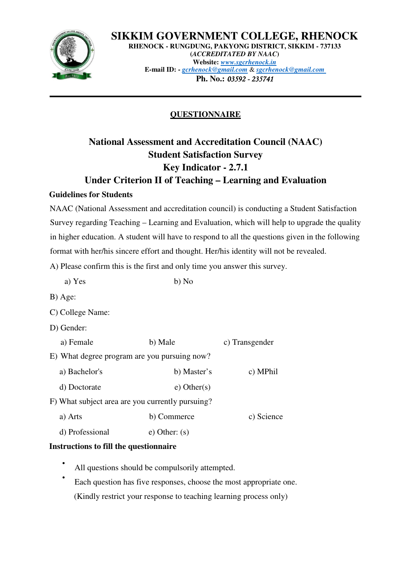

**SIKKIM GOVERNMENT COLLEGE, RHENOCK RHENOCK - RUNGDUNG, PAKYONG DISTRICT, SIKKIM - 737133 (***ACCREDITATED BY NAAC***) Website:** *www.sgcrhenock.in* **E-mail ID: -** *gcrhenock@gmail.com* & *sgcrhenock@gmail.com* **Ph. No.: 03592 - 235741** 

# **QUESTIONNAIRE**

# **National Assessment and Accreditation Council (NAAC) Student Satisfaction Survey Key Indicator - 2.7.1 Under Criterion II of Teaching – Learning and Evaluation**

### **Guidelines for Students**

NAAC (National Assessment and accreditation council) is conducting a Student Satisfaction Survey regarding Teaching – Learning and Evaluation, which will help to upgrade the quality in higher education. A student will have to respond to all the questions given in the following format with her/his sincere effort and thought. Her/his identity will not be revealed.

A) Please confirm this is the first and only time you answer this survey.

- a)  $Yes$  b)  $No$
- B) Age:
- C) College Name:
- D) Gender:

| a) Female                                        | b) Male          | c) Transgender |
|--------------------------------------------------|------------------|----------------|
| E) What degree program are you pursuing now?     |                  |                |
| a) Bachelor's                                    | b) Master's      | c) MPhil       |
| d) Doctorate                                     | $e)$ Other $(s)$ |                |
| F) What subject area are you currently pursuing? |                  |                |
| a) Arts                                          | b) Commerce      | c) Science     |

d) Professional e) Other: (s)

# **Instructions to fill the questionnaire**

- All questions should be compulsorily attempted.
- Each question has five responses, choose the most appropriate one. (Kindly restrict your response to teaching learning process only)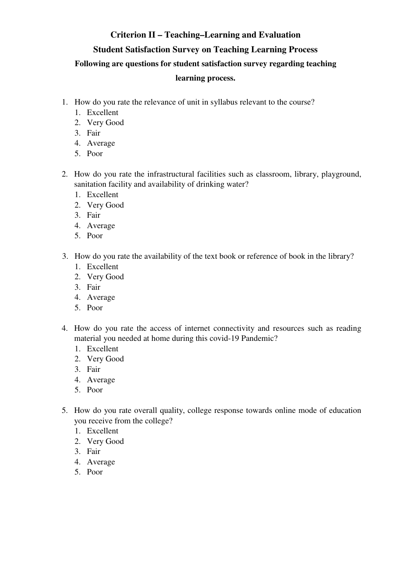### **Criterion II – Teaching–Learning and Evaluation**

### **Student Satisfaction Survey on Teaching Learning Process**

#### **Following are questions for student satisfaction survey regarding teaching**

#### **learning process.**

- 1. How do you rate the relevance of unit in syllabus relevant to the course?
	- 1. Excellent
	- 2. Very Good
	- 3. Fair
	- 4. Average
	- 5. Poor
- 2. How do you rate the infrastructural facilities such as classroom, library, playground, sanitation facility and availability of drinking water?
	- 1. Excellent
	- 2. Very Good
	- 3. Fair
	- 4. Average
	- 5. Poor
- 3. How do you rate the availability of the text book or reference of book in the library?
	- 1. Excellent
	- 2. Very Good
	- 3. Fair
	- 4. Average
	- 5. Poor
- 4. How do you rate the access of internet connectivity and resources such as reading material you needed at home during this covid-19 Pandemic?
	- 1. Excellent
	- 2. Very Good
	- 3. Fair
	- 4. Average
	- 5. Poor
- 5. How do you rate overall quality, college response towards online mode of education you receive from the college?
	- 1. Excellent
	- 2. Very Good
	- 3. Fair
	- 4. Average
	- 5. Poor